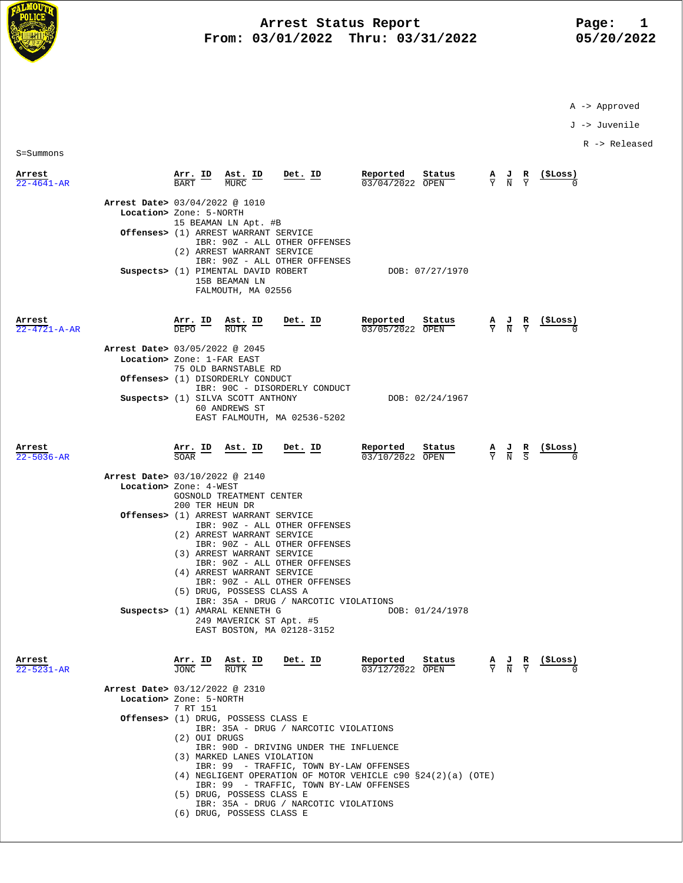

## **Arrest Status Report** Page: 1<br>13/01/2022 Thru: 03/31/2022 15/20/2022 **From: 03/01/2022 Thru: 03/31/2022**

A -> Approved

J -> Juvenile

R -> Released

S=Summons

| Arrest<br>$22 - 4641 - AR$     |                                                              | Arr. ID                                | Ast. ID<br>MURC                                                                                                                                                                                                                                      | <u>Det. ID</u>                                                                                                                                                                                                                                                                            | Reported<br>03/04/2022 OPEN | Status                  | $rac{\mathbf{A}}{\mathbf{Y}}$ | $rac{J}{N}$                               | $\frac{R}{V}$ | (ŞLoss)        |
|--------------------------------|--------------------------------------------------------------|----------------------------------------|------------------------------------------------------------------------------------------------------------------------------------------------------------------------------------------------------------------------------------------------------|-------------------------------------------------------------------------------------------------------------------------------------------------------------------------------------------------------------------------------------------------------------------------------------------|-----------------------------|-------------------------|-------------------------------|-------------------------------------------|---------------|----------------|
|                                | Arrest Date> 03/04/2022 @ 1010<br>Location> Zone: 5-NORTH    |                                        | 15 BEAMAN LN Apt. #B<br>Offenses> (1) ARREST WARRANT SERVICE<br>(2) ARREST WARRANT SERVICE<br>Suspects> (1) PIMENTAL DAVID ROBERT<br>15B BEAMAN LN<br>FALMOUTH, MA 02556                                                                             | IBR: 90Z - ALL OTHER OFFENSES<br>IBR: 90Z - ALL OTHER OFFENSES                                                                                                                                                                                                                            |                             | DOB: 07/27/1970         |                               |                                           |               |                |
| Arrest<br>$22 - 4721 - A - AR$ | Arrest Date> 03/05/2022 @ 2045<br>Location> Zone: 1-FAR EAST | Arr. ID<br><b>DEPO</b>                 | Ast. ID<br>RUTK<br>75 OLD BARNSTABLE RD                                                                                                                                                                                                              | Det. ID                                                                                                                                                                                                                                                                                   | Reported<br>03/05/2022 OPEN | Status                  |                               | $\frac{A}{Y}$ $\frac{J}{N}$ $\frac{R}{Y}$ |               | (ŞLoss)        |
|                                |                                                              |                                        | Offenses> (1) DISORDERLY CONDUCT<br>Suspects> (1) SILVA SCOTT ANTHONY<br>60 ANDREWS ST                                                                                                                                                               | IBR: 90C - DISORDERLY CONDUCT<br>EAST FALMOUTH, MA 02536-5202                                                                                                                                                                                                                             |                             | DOB: 02/24/1967         |                               |                                           |               |                |
| Arrest<br>22-5036-AR           |                                                              | <u>Arr. ID</u><br>SOAR                 | <u>Ast. ID</u>                                                                                                                                                                                                                                       | Det. ID                                                                                                                                                                                                                                                                                   | Reported<br>03/10/2022 OPEN | Status                  |                               | $\frac{A}{Y}$ $\frac{J}{N}$ $\frac{R}{S}$ |               | <u>(ŞLoss)</u> |
|                                | Arrest Date> 03/10/2022 @ 2140<br>Location> Zone: 4-WEST     | 200 TER HEUN DR                        | GOSNOLD TREATMENT CENTER<br>Offenses> (1) ARREST WARRANT SERVICE<br>(2) ARREST WARRANT SERVICE<br>(3) ARREST WARRANT SERVICE<br>(4) ARREST WARRANT SERVICE<br>(5) DRUG, POSSESS CLASS A<br>Suspects> (1) AMARAL KENNETH G<br>249 MAVERICK ST Apt. #5 | IBR: 90Z - ALL OTHER OFFENSES<br>IBR: 90Z - ALL OTHER OFFENSES<br>IBR: 90Z - ALL OTHER OFFENSES<br>IBR: 90Z - ALL OTHER OFFENSES<br>IBR: 35A - DRUG / NARCOTIC VIOLATIONS<br>EAST BOSTON, MA 02128-3152                                                                                   |                             | DOB: 01/24/1978         |                               |                                           |               |                |
| Arrest<br>$22 - 5231 - AR$     | Arrest Date> 03/12/2022 @ 2310<br>Location> Zone: 5-NORTH    | JONC RUTK<br>7 RT 151<br>(2) OUI DRUGS | Arr. ID Ast. ID<br>Offenses> (1) DRUG, POSSESS CLASS E<br>(3) MARKED LANES VIOLATION<br>(5) DRUG, POSSESS CLASS E<br>(6) DRUG, POSSESS CLASS E                                                                                                       | Det. ID<br>IBR: 35A - DRUG / NARCOTIC VIOLATIONS<br>IBR: 90D - DRIVING UNDER THE INFLUENCE<br>IBR: 99 - TRAFFIC, TOWN BY-LAW OFFENSES<br>(4) NEGLIGENT OPERATION OF MOTOR VEHICLE c90 §24(2)(a) (OTE)<br>IBR: 99 - TRAFFIC, TOWN BY-LAW OFFENSES<br>IBR: 35A - DRUG / NARCOTIC VIOLATIONS | Reported<br>03/12/2022 OPEN | Status – A J R (\$Loss) |                               | $Y$ N $\overline{Y}$                      |               |                |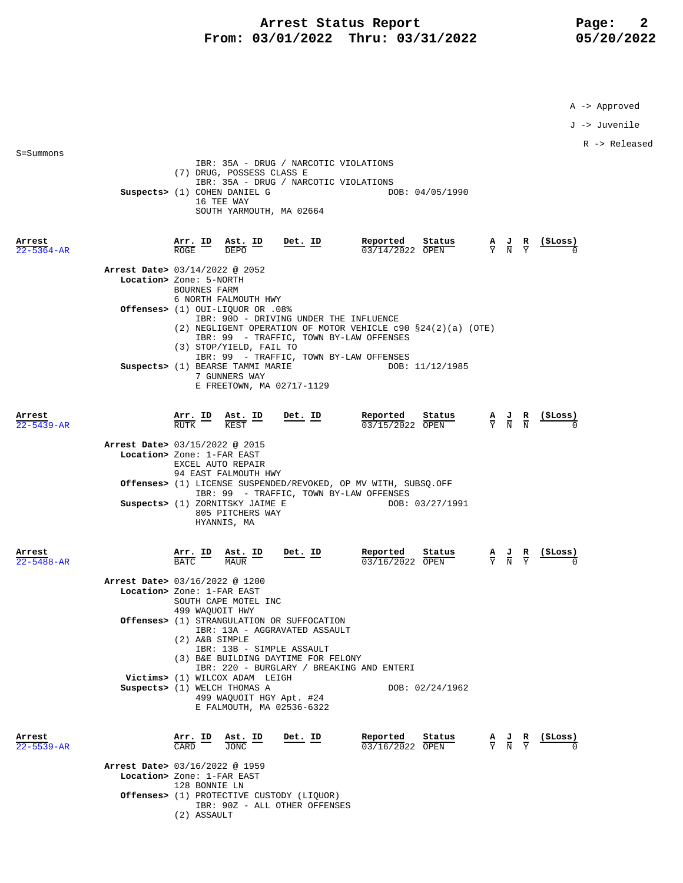## Arrest Status Report Page: 2  **From: 03/01/2022 Thru: 03/31/2022 05/20/2022**

IBR: 35A - DRUG / NARCOTIC VIOLATIONS

S=Summons

A -> Approved

J -> Juvenile

R -> Released

|                            | (7) DRUG, POSSESS CLASS E<br>Suspects> (1) COHEN DANIEL G<br>16 TEE WAY<br>SOUTH YARMOUTH, MA 02664                                                                                            | IBR: 35A - DRUG / NARCOTIC VIOLATIONS                                              |                               | DOB: 04/05/1990                                                                               |                                                                 |                               |                                                               |
|----------------------------|------------------------------------------------------------------------------------------------------------------------------------------------------------------------------------------------|------------------------------------------------------------------------------------|-------------------------------|-----------------------------------------------------------------------------------------------|-----------------------------------------------------------------|-------------------------------|---------------------------------------------------------------|
| Arrest<br>$22 - 5364 - AR$ | $\frac{\texttt{Arr.}}{\texttt{ROGE}}$ $\frac{\texttt{ID}}{\texttt{DEPO}}$ $\frac{\texttt{Ast.}}{\texttt{DEPO}}$                                                                                | <u>Det. ID</u>                                                                     | Reported<br>$03/14/2022$ OPEN | $\frac{\text{Status}}{\text{OPEN}}$ $\frac{A}{Y}$ $\frac{J}{N}$ $\frac{R}{Y}$                 |                                                                 |                               | (ŞLoss)                                                       |
|                            | Arrest Date> 03/14/2022 @ 2052<br>Location> Zone: 5-NORTH<br><b>BOURNES FARM</b>                                                                                                               |                                                                                    |                               |                                                                                               |                                                                 |                               |                                                               |
|                            | 6 NORTH FALMOUTH HWY<br>0ffenses> (1) OUI-LIQUOR OR .08%<br>(2) NEGLIGENT OPERATION OF MOTOR VEHICLE $c90 S24(2)(a)$ (OTE)                                                                     | IBR: 90D - DRIVING UNDER THE INFLUENCE                                             |                               |                                                                                               |                                                                 |                               |                                                               |
|                            | (3) STOP/YIELD, FAIL TO<br>Suspects> (1) BEARSE TAMMI MARIE<br>7 GUNNERS WAY<br>E FREETOWN, MA 02717-1129                                                                                      | IBR: 99 - TRAFFIC, TOWN BY-LAW OFFENSES<br>IBR: 99 - TRAFFIC, TOWN BY-LAW OFFENSES |                               | DOB: 11/12/1985                                                                               |                                                                 |                               |                                                               |
| Arrest<br>$22 - 5439 - AR$ | <b>Arr. ID</b> Ast. ID<br>RUTK <b>EXAMPLE</b>                                                                                                                                                  | <u>Det. ID</u>                                                                     |                               | Status<br><b>Reported Status</b> $\frac{A}{0.3/15/2022}$ <b>OPEN</b> $\frac{A}{Y}$ <b>N N</b> |                                                                 |                               | $(_{\sim}$                                                    |
|                            | Arrest Date> 03/15/2022 @ 2015<br>Location> Zone: 1-FAR EAST<br>EXCEL AUTO REPAIR<br>94 EAST FALMOUTH HWY                                                                                      |                                                                                    |                               |                                                                                               |                                                                 |                               |                                                               |
|                            | <b>Offenses&gt;</b> (1) LICENSE SUSPENDED/REVOKED, OP MV WITH, SUBSQ.OFF                                                                                                                       | IBR: 99 - TRAFFIC, TOWN BY-LAW OFFENSES                                            |                               |                                                                                               |                                                                 |                               |                                                               |
|                            | Suspects> (1) ZORNITSKY JAIME E<br>805 PITCHERS WAY<br>HYANNIS, MA                                                                                                                             |                                                                                    |                               | DOB: 03/27/1991                                                                               |                                                                 |                               |                                                               |
| Arrest<br>$22 - 5488 - AR$ | Arr. ID<br>BATC<br><u>Ast. ID</u><br>MAUR                                                                                                                                                      | <u>Det. ID</u>                                                                     | Reported<br>03/16/2022 OPEN   | Status                                                                                        |                                                                 |                               | $\frac{A}{Y}$ $\frac{J}{N}$ $\frac{R}{Y}$ $\frac{($Loss)}{0}$ |
|                            | Arrest Date> 03/16/2022 @ 1200<br>Location> Zone: 1-FAR EAST<br>SOUTH CAPE MOTEL INC                                                                                                           |                                                                                    |                               |                                                                                               |                                                                 |                               |                                                               |
|                            | 499 WAQUOIT HWY<br><b>Offenses&gt;</b> (1) STRANGULATION OR SUFFOCATION<br>IBR: 13A - AGGRAVATED ASSAULT<br>(2) A&B SIMPLE<br>IBR: 13B - SIMPLE ASSAULT<br>(3) B&E BUILDING DAYTIME FOR FELONY | IBR: 220 - BURGLARY / BREAKING AND ENTERI                                          |                               |                                                                                               |                                                                 |                               |                                                               |
|                            | Victims> (1) WILCOX ADAM LEIGH<br>Suspects> (1) WELCH THOMAS A<br>499 WAQUOIT HGY Apt. #24<br>E FALMOUTH, MA 02536-6322                                                                        |                                                                                    |                               | DOB: 02/24/1962                                                                               |                                                                 |                               |                                                               |
| Arrest<br>$22 - 5539 - AR$ | Arr. ID<br>Ast. ID<br>CARD<br>JONC                                                                                                                                                             | Det. ID                                                                            | Reported<br>03/16/2022 OPEN   | Status                                                                                        | $\frac{\mathbf{A}}{\mathbf{Y}}$ $\frac{\mathbf{J}}{\mathbf{N}}$ | $rac{\mathbf{R}}{\mathbf{Y}}$ | (\$Loss)                                                      |
|                            | Arrest Date> 03/16/2022 @ 1959<br>Location> Zone: 1-FAR EAST                                                                                                                                   |                                                                                    |                               |                                                                                               |                                                                 |                               |                                                               |
|                            | 128 BONNIE LN<br>Offenses> (1) PROTECTIVE CUSTODY (LIQUOR)<br>IBR: 90Z - ALL OTHER OFFENSES<br>(2) ASSAULT                                                                                     |                                                                                    |                               |                                                                                               |                                                                 |                               |                                                               |
|                            |                                                                                                                                                                                                |                                                                                    |                               |                                                                                               |                                                                 |                               |                                                               |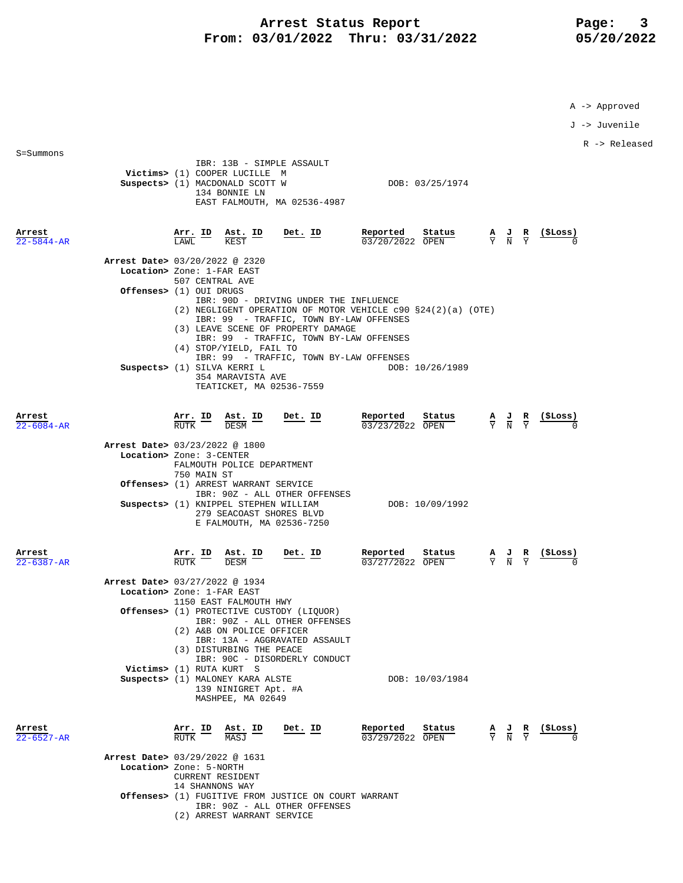## Arrest Status Report Page: 3  **From: 03/01/2022 Thru: 03/31/2022 05/20/2022**

A -> Approved

J -> Juvenile

R -> Released

|                            | Victims> (1) COOPER LUCILLE M                                                                                                                                                                                                                                                                                                                                                                                       |                                                                                                                                          |                                           |          |
|----------------------------|---------------------------------------------------------------------------------------------------------------------------------------------------------------------------------------------------------------------------------------------------------------------------------------------------------------------------------------------------------------------------------------------------------------------|------------------------------------------------------------------------------------------------------------------------------------------|-------------------------------------------|----------|
|                            | Suspects> (1) MACDONALD SCOTT W<br>134 BONNIE LN<br>EAST FALMOUTH, MA 02536-4987                                                                                                                                                                                                                                                                                                                                    | DOB: 03/25/1974                                                                                                                          |                                           |          |
| Arrest<br>$22 - 5844 - AR$ | $\frac{\texttt{Arr.}}{\texttt{LAWL}}$ ID<br>Ast. ID<br>Det. ID<br>LAWL.<br>KEST                                                                                                                                                                                                                                                                                                                                     | Reported<br>Status<br>$\frac{\mathbf{A}}{\mathbf{Y}}$ $\frac{\mathbf{J}}{\mathbf{N}}$ $\frac{\mathbf{R}}{\mathbf{Y}}$<br>03/20/2022 OPEN |                                           | (\$Loss) |
|                            | Arrest Date> 03/20/2022 @ 2320                                                                                                                                                                                                                                                                                                                                                                                      |                                                                                                                                          |                                           |          |
|                            | Location> Zone: 1-FAR EAST<br>507 CENTRAL AVE                                                                                                                                                                                                                                                                                                                                                                       |                                                                                                                                          |                                           |          |
|                            | Offenses> (1) OUI DRUGS<br>IBR: 90D - DRIVING UNDER THE INFLUENCE<br>(2) NEGLIGENT OPERATION OF MOTOR VEHICLE c90 §24(2)(a) (OTE)<br>IBR: 99 - TRAFFIC, TOWN BY-LAW OFFENSES<br>(3) LEAVE SCENE OF PROPERTY DAMAGE<br>IBR: 99 - TRAFFIC, TOWN BY-LAW OFFENSES<br>(4) STOP/YIELD, FAIL TO<br>IBR: 99 - TRAFFIC, TOWN BY-LAW OFFENSES<br>Suspects> (1) SILVA KERRI L<br>354 MARAVISTA AVE<br>TEATICKET, MA 02536-7559 | DOB: 10/26/1989                                                                                                                          |                                           |          |
| Arrest<br>$22 - 6084 - AR$ | $\frac{\texttt{Arr.}}{\texttt{RUTK}}$ ID<br>$Ast.$ ID<br>Det. ID<br><b>DESM</b>                                                                                                                                                                                                                                                                                                                                     | Reported Status<br>03/23/2022 OPEN                                                                                                       | $\frac{A}{Y}$ $\frac{J}{N}$ $\frac{R}{Y}$ | (SLoss)  |
|                            | Arrest Date> 03/23/2022 @ 1800                                                                                                                                                                                                                                                                                                                                                                                      |                                                                                                                                          |                                           |          |
|                            | Location> Zone: 3-CENTER<br>FALMOUTH POLICE DEPARTMENT<br>750 MAIN ST                                                                                                                                                                                                                                                                                                                                               |                                                                                                                                          |                                           |          |
|                            | Offenses> (1) ARREST WARRANT SERVICE<br>IBR: 90Z - ALL OTHER OFFENSES                                                                                                                                                                                                                                                                                                                                               |                                                                                                                                          |                                           |          |
|                            | Suspects> (1) KNIPPEL STEPHEN WILLIAM                                                                                                                                                                                                                                                                                                                                                                               | DOB: 10/09/1992                                                                                                                          |                                           |          |

IBR: 13B - SIMPLE ASSAULT

S=Summons

|                                | E FALMOUTH, MA 02536-7250        |                                                                               |         |  |                             |        |  |                                           |  |          |
|--------------------------------|----------------------------------|-------------------------------------------------------------------------------|---------|--|-----------------------------|--------|--|-------------------------------------------|--|----------|
| Arrest<br>$22 - 6387 - AR$     | Arr. ID Ast. ID<br><b>RUTK</b>   | <b>DESM</b>                                                                   | Det. ID |  | Reported<br>03/27/2022 OPEN | Status |  | $\frac{A}{Y}$ $\frac{J}{N}$ $\frac{R}{Y}$ |  | (\$Loss) |
| Arrest Date> 03/27/2022 @ 1934 |                                  |                                                                               |         |  |                             |        |  |                                           |  |          |
|                                | Location> Zone: 1-FAR EAST       |                                                                               |         |  |                             |        |  |                                           |  |          |
|                                |                                  | 1150 EAST FALMOUTH HWY<br><b>Offenses&gt;</b> (1) PROTECTIVE CUSTODY (LIQUOR) |         |  |                             |        |  |                                           |  |          |
|                                |                                  | IBR: 90Z - ALL OTHER OFFENSES                                                 |         |  |                             |        |  |                                           |  |          |
|                                |                                  | (2) A&B ON POLICE OFFICER                                                     |         |  |                             |        |  |                                           |  |          |
|                                |                                  | IBR: 13A - AGGRAVATED ASSAULT                                                 |         |  |                             |        |  |                                           |  |          |
|                                |                                  | (3) DISTURBING THE PEACE<br>IBR: 90C - DISORDERLY CONDUCT                     |         |  |                             |        |  |                                           |  |          |
|                                | Victims> (1) RUTA KURT S         |                                                                               |         |  |                             |        |  |                                           |  |          |
|                                | Suspects> (1) MALONEY KARA ALSTE |                                                                               |         |  | DOB: 10/03/1984             |        |  |                                           |  |          |
|                                |                                  | 139 NINIGRET Apt. #A                                                          |         |  |                             |        |  |                                           |  |          |
|                                |                                  | MASHPEE, MA 02649                                                             |         |  |                             |        |  |                                           |  |          |
|                                |                                  |                                                                               |         |  |                             |        |  |                                           |  |          |
| Arrest                         | Arr. ID Ast. ID                  |                                                                               | Det. ID |  | Reported                    | Status |  | $\frac{A}{Y}$ $\frac{J}{N}$ $\frac{R}{Y}$ |  | (\$Loss) |
| $22 - 6527 - AR$               | RUTK                             | MASJ                                                                          |         |  | 03/29/2022 OPEN             |        |  |                                           |  |          |
| Arrest Date> 03/29/2022 @ 1631 |                                  |                                                                               |         |  |                             |        |  |                                           |  |          |
|                                | Location> Zone: 5-NORTH          |                                                                               |         |  |                             |        |  |                                           |  |          |
|                                | <b>CURRENT RESIDENT</b>          |                                                                               |         |  |                             |        |  |                                           |  |          |

 IBR: 90Z - ALL OTHER OFFENSES (2) ARREST WARRANT SERVICE

 **Offenses>** (1) FUGITIVE FROM JUSTICE ON COURT WARRANT

14 SHANNONS WAY

279 SEACOAST SHORES BLVD